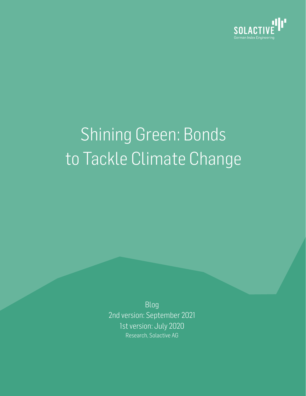

# Shining Green: Bonds to Tackle Climate Change

Blog 2nd version: September 2021 1st version: July 2020 Research, Solactive AG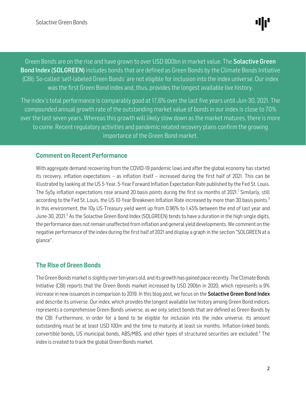֖֖֦֧֦֧֦֧ׅ֪֪֪֪֪֪֦֧֪֪֪֪֪֪֪֪֪֪֪֪֪֪֪֪֪֪֪֪֪֚֚֚֚֚֚֚֚֚֚֚֚֚֚֡֝֝֓֕֓֡֜֡֓֓֡֝֓֞֡֜֓֓֡֡֓ Green Bonds are on the rise and have grown to over USD 800bn in market value. The **Solactive Green Bond Index (SOLGREEN)** includes bonds that are defined as Green Bonds by the Climate Bonds Initiative (CBI). So-called 'self-labeled Green Bonds' are not eligible for inclusion into the index universe. Our index was the first Green Bond index and, thus, provides the longest available live history.

 $\overline{1}$ ĺ  $\overline{\phantom{a}}$ ì The index's total performance is comparably good at 17.6% over the last five years until Jun-30, 2021. The compounded annual growth rate of the outstanding market value of bonds in our index is close to 70% over the last seven years. Whereas this growth will likely slow down as the market matures, there is more to come. Recent regulatory activities and pandemic related recovery plans confirm the growing importance of the Green Bond market.

### Comment on Recent Performance

With aggregate demand recovering from the COVID-19 pandemic lows and after the global economy has started its recovery, inflation expectations – as inflation itself – increased during the first half of 2021. This can be illustrated by looking at the US 5-Year, 5-Year Forward Inflation Expectation Rate published by the Fed St. Louis. The 5y5y inflation expectations rose around 20 basis points during the first six months of 2021.<sup>1</sup> Similarly, still according to the Fed St. Louis, the US 10-Year Breakeven Inflation Rate increased by more than 30 basis points.<sup>2</sup> In this environment, the 10y US-Treasury yield went up from 0.96% to 1.45% between the end of last year and June-30, 2021.<sup>3</sup> As the Solactive Green Bond Index (SOLGREEN) tends to have a duration in the high single digits, the performance does not remain unaffected from inflation and general yield developments. We comment on the negative performance of the index during the first half of 2021 and display a graph in the section "SOLGREEN at a glance".

# The Rise of Green Bonds

The Green Bondsmarket is slightly over ten years old, and its growth has gained pace recently. The Climate Bonds Initiative (CBI) reports that the Green Bonds market increased by USD 290bn in 2020, which represents a 9% increase in new issuances in comparison to 2019. In this blog post, we focus on the **Solactive Green Bond Index** and describe its universe. Our index, which provides the longest available live history among Green Bond indices, represents a comprehensive Green Bonds universe, as we only select bonds that are defined as Green Bonds by the CBI. Furthermore, in order for a bond to be eligible for inclusion into the index universe, its amount outstanding must be at least USD 100m and the time to maturity at least six months. Inflation-linked bonds, convertible bonds, US municipal bonds, ABS/MBS, and other types of structured securities are excluded. 4 The index is created to track the global Green Bonds market.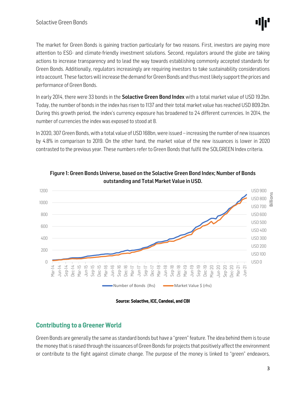The market for Green Bonds is gaining traction particularly for two reasons. First, investors are paying more attention to ESG- and climate-friendly investment solutions. Second, regulators around the globe are taking actions to increase transparency and to lead the way towards establishing commonly accepted standards for Green Bonds. Additionally, regulators increasingly are requiring investors to take sustainability considerations into account. These factors will increase the demand for Green Bonds and thus most likely support the prices and performance of Green Bonds.

In early 2014, there were 33 bonds in the **Solactive Green Bond Index** with a total market value of USD 19.2bn. Today, the number of bonds in the index has risen to 1137 and their total market value has reached USD 809.2bn. During this growth period, the index's currency exposure has broadened to 24 different currencies. In 2014, the number of currencies the index was exposed to stood at 8.

In 2020, 307 Green Bonds, with a total value of USD 168bn, were issued – increasing the number of new issuances by 4.8% in comparison to 2019. On the other hand, the market value of the new issuances is lower in 2020 contrasted to the previous year. These numbers refer to Green Bonds that fulfil the SOLGREEN Index criteria.





Source: Solactive, ICE, Candeal, and CBI

# Contributing to a Greener World

Green Bonds are generally the same as standard bonds but have a "green" feature. The idea behind them is to use the money that is raised through the issuances of Green Bonds for projects that positively affect the environment or contribute to the fight against climate change. The purpose of the money is linked to "green" endeavors,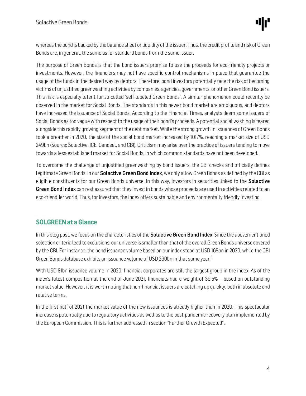whereas the bond is backed by the balance sheet or liquidity of the issuer. Thus, the credit profile and risk of Green Bonds are, in general, the same as for standard bonds from the same issuer.

The purpose of Green Bonds is that the bond issuers promise to use the proceeds for eco-friendly projects or investments. However, the financiers may not have specific control mechanisms in place that guarantee the usage of the funds in the desired way by debtors. Therefore, bond investors potentially face the risk of becoming victims of unjustified greenwashing activities by companies, agencies, governments, or other Green Bond issuers. This risk is especially latent for so-called 'self-labeled Green Bonds'. A similar phenomenon could recently be observed in the market for Social Bonds. The standards in this newer bond market are ambiguous, and debtors have increased the issuance of Social Bonds. According to the Financial Times, analysts deem some issuers of Social Bonds as too vague with respect to the usage of their bond's proceeds. A potential social washing is feared alongside this rapidly growing segment of the debt market. While the strong growth in issuances of Green Bonds took a breather in 2020, the size of the social bond market increased by 1017%, reaching a market size of USD 249bn (Source: Solactive, ICE, Candeal, and CBI). Criticism may arise over the practice of issuers tending to move towards a less-established market for Social Bonds, in which common standards have not been developed.

To overcome the challenge of unjustified greenwashing by bond issuers, the CBI checks and officially defines legitimate Green Bonds. In our Solactive Green Bond Index, we only allow Green Bonds as defined by the CBI as eligible constituents for our Green Bonds universe. In this way, investors in securities linked to the Solactive Green Bond Index can rest assured that they invest in bonds whose proceeds are used in activities related to an eco-friendlier world. Thus, for investors, the index offers sustainable and environmentally friendly investing.

# SOLGREEN at a Glance

In this blog post, we focus on the characteristics of the **Solactive Green Bond Index**. Since the abovementioned selection criteria lead to exclusions, our universe is smaller than that of the overall Green Bonds universe covered by the CBI. For instance, the bond issuance volume based on our index stood at USD 168bn in 2020, while the CBI Green Bonds database exhibits an issuance volume of USD 290bn in that same year. $^5$ 

With USD 81bn issuance volume in 2020, financial corporates are still the largest group in the index. As of the index's latest composition at the end of June 2021, financials had a weight of 39.5% – based on outstanding market value. However, it is worth noting that non-financial issuers are catching up quickly, both in absolute and relative terms.

In the first half of 2021 the market value of the new issuances is already higher than in 2020. This spectacular increase is potentially due to regulatory activities as well as to the post-pandemic recovery plan implemented by the European Commission. This is further addressed in section "Further Growth Expected".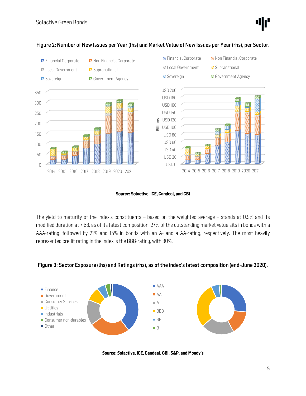

#### Figure 2: Number of New Issues per Year (lhs) and Market Value of New Issues per Year (rhs), per Sector.

#### Source: Solactive, ICE, Candeal, and CBI

The yield to maturity of the index's constituents – based on the weighted average – stands at 0.9% and its modified duration at 7.68, as of its latest composition. 27% of the outstanding market value sits in bonds with a AAA-rating, followed by 21% and 15% in bonds with an A- and a AA-rating, respectively. The most heavily represented credit rating in the index is the BBB-rating, with 30%.

#### Figure 3: Sector Exposure (lhs) and Ratings (rhs), as of the index's latest composition (end-June 2020).



Source: Solactive, ICE, Candeal, CBI, S&P, and Moody's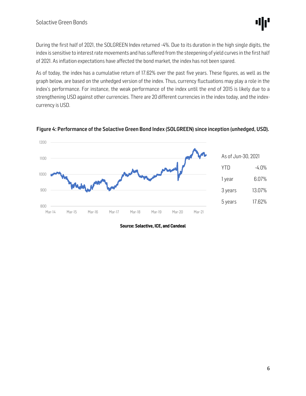During the first half of 2021, the SOLGREEN Index returned -4%. Due to its duration in the high single digits, the index is sensitive to interest rate movements and has suffered from the steepening of yield curves in the first half of 2021. As inflation expectations have affected the bond market, the index has not been spared.

As of today, the index has a cumulative return of 17.62% over the past five years. These figures, as well as the graph below, are based on the unhedged version of the index. Thus, currency fluctuations may play a role in the index's performance. For instance, the weak performance of the index until the end of 2015 is likely due to a strengthening USD against other currencies. There are 20 different currencies in the index today, and the indexcurrency is USD.



Figure 4: Performance of the Solactive Green Bond Index (SOLGREEN) since inception (unhedged, USD).

Source: Solactive, ICE, and Candeal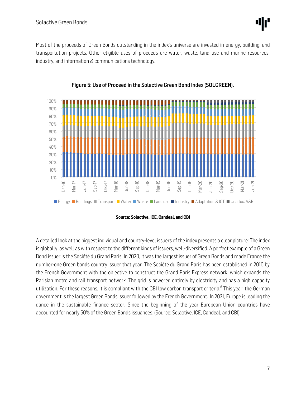Most of the proceeds of Green Bonds outstanding in the index's universe are invested in energy, building, and transportation projects. Other eligible uses of proceeds are water, waste, land use and marine resources, industry, and information & communications technology.





#### Source: Solactive, ICE, Candeal, and CBI

A detailed look at the biggest individual and country-level issuers of the index presents a clear picture: The index is globally, as well as with respect to the different kinds of issuers, well-diversified. A perfect example of a Green Bond issuer is the Société du Grand Paris. In 2020, it was the largest issuer of Green Bonds and made France the number-one Green bonds country issuer that year. The Société du Grand Paris has been established in 2010 by the French Government with the objective to construct the Grand Paris Express network, which expands the Parisian metro and rail transport network. The grid is powered entirely by electricity and has a high capacity utilization. For these reasons, it is compliant with the CBI low carbon transport criteria.<sup>6</sup> This year, the German government is the largest Green Bonds issuer followed by the French Government. In 2021, Europe is leading the dance in the sustainable finance sector. Since the beginning of the year European Union countries have accounted for nearly 50% of the Green Bonds issuances. (Source: Solactive, ICE, Candeal, and CBI).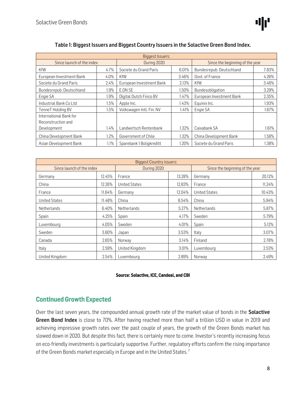| <b>Biggest Issuers:</b>   |         |                          |       |                                 |       |  |  |  |
|---------------------------|---------|--------------------------|-------|---------------------------------|-------|--|--|--|
| Since launch of the index |         | During 2020              |       | Since the beginning of the year |       |  |  |  |
| <b>KfW</b>                | 4.7%    | Societe du Grand Paris   | 6.01% | Bundesrepub. Deutschland        | 7.83% |  |  |  |
| European Investment Bank  | $4.0\%$ | KfW                      | 3.46% | Govt. of France                 | 4.26% |  |  |  |
| Societe du Grand Paris    | 2.4%    | European Investment Bank | 2.13% | KfW                             | 3.46% |  |  |  |
| Bundesrepub. Deutschland  | 1.9%    | E.ON SE                  | .50%  | Bundesobligation                | 3.29% |  |  |  |
| Engie SA                  | 1.9%    | Digital Dutch Finco BV   | 1.47% | European Investment Bank        | 2.35% |  |  |  |
| Industrial Bank Co Ltd    | 1.5%    | Apple Inc.               | 1.43% | Equinix Inc.                    | 1.93% |  |  |  |
| TenneT Holding BV         | 1.5%    | Volkswagen Intl. Fin. NV | 1.41% | Engie SA                        | 1.67% |  |  |  |
| International Bank for    |         |                          |       |                                 |       |  |  |  |
| Reconstruction and        |         |                          |       |                                 |       |  |  |  |
| Development               | 1.4%    | Landwirtsch Rentenbank   | 1.32% | Caixabank SA                    | 1.61% |  |  |  |
| China Development Bank    | 1.2%    | Government of Chile      | 1.32% | China Development Bank          | 1.58% |  |  |  |
| Asian Development Bank    | 1.1%    | Sparebank 1 Boligkreditt | 1.20% | Societe du Grand Paris          | 1.38% |  |  |  |

#### Table 1: Biggest Issuers and Biggest Country Issuers in the Solactive Green Bond Index.

| <b>Biggest Country issuers:</b> |        |                      |        |                                 |        |  |  |  |
|---------------------------------|--------|----------------------|--------|---------------------------------|--------|--|--|--|
| Since launch of the index       |        | During 2020          |        | Since the beginning of the year |        |  |  |  |
| Germany                         | 12.45% | France               | 13.28% | Germany                         | 20.12% |  |  |  |
| China                           | 12.26% | <b>United States</b> | 12.83% | France                          | 11.24% |  |  |  |
| France                          | 11.64% | Germany              | 12.04% | <b>United States</b>            | 10.43% |  |  |  |
| <b>United States</b>            | 11.48% | China                | 8.54%  | China                           | 5.94%  |  |  |  |
| Netherlands                     | 6.40%  | Netherlands          | 5.27%  | Netherlands                     | 5.87%  |  |  |  |
| Spain                           | 4.25%  | Spain                | 4.17%  | Sweden                          | 5.79%  |  |  |  |
| Luxembourg                      | 4.05%  | Sweden               | 4.01%  | Spain                           | 5.12%  |  |  |  |
| Sweden                          | 3.60%  | Japan                | 3.53%  | Italy                           | 3.07%  |  |  |  |
| Canada                          | 2.65%  | Norway               | 3.14%  | Finland                         | 2.78%  |  |  |  |
| Italy                           | 2.59%  | United Kingdom       | 3.01%  | Luxembourg                      | 2.53%  |  |  |  |
| United Kingdom                  | 2.54%  | Luxembourg           | 2.89%  | Norway                          | 2.49%  |  |  |  |

#### Source: Solactive, ICE, Candeal, and CBI

## Continued Growth Expected

Over the last seven years, the compounded annual growth rate of the market value of bonds in the Solactive Green Bond Index is close to 70%. After having reached more than half a trillion USD in value in 2019 and achieving impressive growth rates over the past couple of years, the growth of the Green Bonds market has slowed down in 2020. But despite this fact, there is certainly more to come. Investor's recently increasing focus on eco-friendly investments is particularly supportive. Further, regulatory efforts confirm the rising importance of the Green Bonds market especially in Europe and in the United States.<sup>7</sup>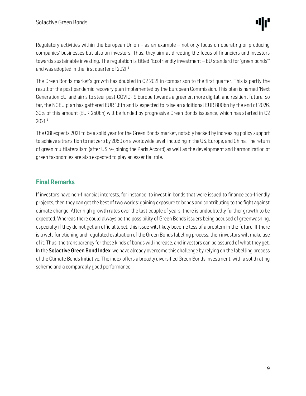Regulatory activities within the European Union  $-$  as an example  $-$  not only focus on operating or producing companies' businesses but also on investors. Thus, they aim at directing the focus of financiers and investors towards sustainable investing. The regulation is titled "Ecofriendly investment – EU standard for 'green bonds'" and was adopted in the first quarter of 2021.<sup>8</sup>

The Green Bonds market's growth has doubled in Q2 2021 in comparison to the first quarter. This is partly the result of the post pandemic recovery plan implemented by the European Commission. This plan is named 'Next Generation EU' and aims to steer post-COVID-19 Europe towards a greener, more digital, and resilient future. So far, the NGEU plan has gathered EUR 1.8tn and is expected to raise an additional EUR 800bn by the end of 2026. 30% of this amount (EUR 250bn) will be funded by progressive Green Bonds issuance, which has started in Q2 2021.<sup>9</sup>

The CBI expects 2021 to be a solid year for the Green Bonds market, notably backed by increasing policy support to achieve a transition to net zero by 2050 on a worldwide level, including in the US, Europe, and China. The return of green multilateralism (after US re-joining the Paris Accord) as well as the development and harmonization of green taxonomies are also expected to play an essential role.

# Final Remarks

If investors have non-financial interests, for instance, to invest in bonds that were issued to finance eco-friendly projects, then they can get the best of two worlds: gaining exposure to bonds and contributing to the fight against climate change. After high growth rates over the last couple of years, there is undoubtedly further growth to be expected. Whereas there could always be the possibility of Green Bonds issuers being accused of greenwashing, especially if they do not get an official label, this issue will likely become less of a problem in the future. If there is a well-functioning and regulated evaluation of the Green Bonds labeling process, then investors will make use of it. Thus, the transparency for these kinds of bonds will increase, and investors can be assured of what they get. In the **Solactive Green Bond Index**, we have already overcome this challenge by relying on the labelling process of the Climate Bonds Initiative. The index offers a broadly diversified Green Bonds investment, with a solid rating scheme and a comparably good performance.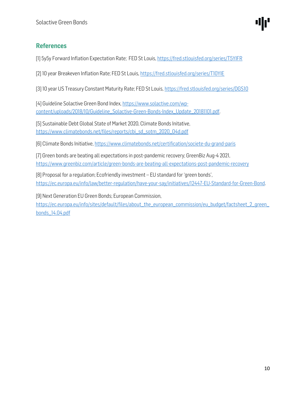# References

[1] 5y5y Forward Inflation Expectation Rate; FED St Louis,<https://fred.stlouisfed.org/series/T5YIFR>

[2] 10 year Breakeven Inflation Rate; FED St Louis[, https://fred.stlouisfed.org/series/T10YIE](https://fred.stlouisfed.org/series/T10YIE)

[3] 10 year US Treasury Constant Maturity Rate; FED St Louis[, https://fred.stlouisfed.org/series/DGS10](https://fred.stlouisfed.org/series/DGS10)

[4] Guideline Solactive Green Bond Index[, https://www.solactive.com/wp](https://www.solactive.com/wp-content/uploads/2018/10/Guideline_Solactive-Green-Bonds-Index_Update_20181101.pdf)[content/uploads/2018/10/Guideline\\_Solactive-Green-Bonds-Index\\_Update\\_20181101.pdf.](https://www.solactive.com/wp-content/uploads/2018/10/Guideline_Solactive-Green-Bonds-Index_Update_20181101.pdf)

[5] Sustainable Debt Global State of Market 2020, Climate Bonds Initative, [https://www.climatebonds.net/files/reports/cbi\\_sd\\_sotm\\_2020\\_04d.pdf](https://www.climatebonds.net/files/reports/cbi_sd_sotm_2020_04d.pdf)

[6] Climate Bonds Initiative[, https://www.climatebonds.net/certification/societe-du-grand-paris](https://www.climatebonds.net/certification/societe-du-grand-paris)

[7] Green bonds are beating all expectations in post-pandemic recovery; GreenBiz Aug-4 2021, <https://www.greenbiz.com/article/green-bonds-are-beating-all-expectations-post-pandemic-recovery>

[8] Proposal for a regulation; Ecofriendly investment – EU standard for 'green bonds', [https://ec.europa.eu/info/law/better-regulation/have-your-say/initiatives/12447-EU-Standard-for-Green-Bond.](https://ec.europa.eu/info/law/better-regulation/have-your-say/initiatives/12447-EU-Standard-for-Green-Bond)

[9] Next Generation EU Green Bonds; European Commission,

[https://ec.europa.eu/info/sites/default/files/about\\_the\\_european\\_commission/eu\\_budget/factsheet\\_2\\_green\\_](https://ec.europa.eu/info/sites/default/files/about_the_european_commission/eu_budget/factsheet_2_green_bonds_14.04.pdf) [bonds\\_14.04.pdf](https://ec.europa.eu/info/sites/default/files/about_the_european_commission/eu_budget/factsheet_2_green_bonds_14.04.pdf)